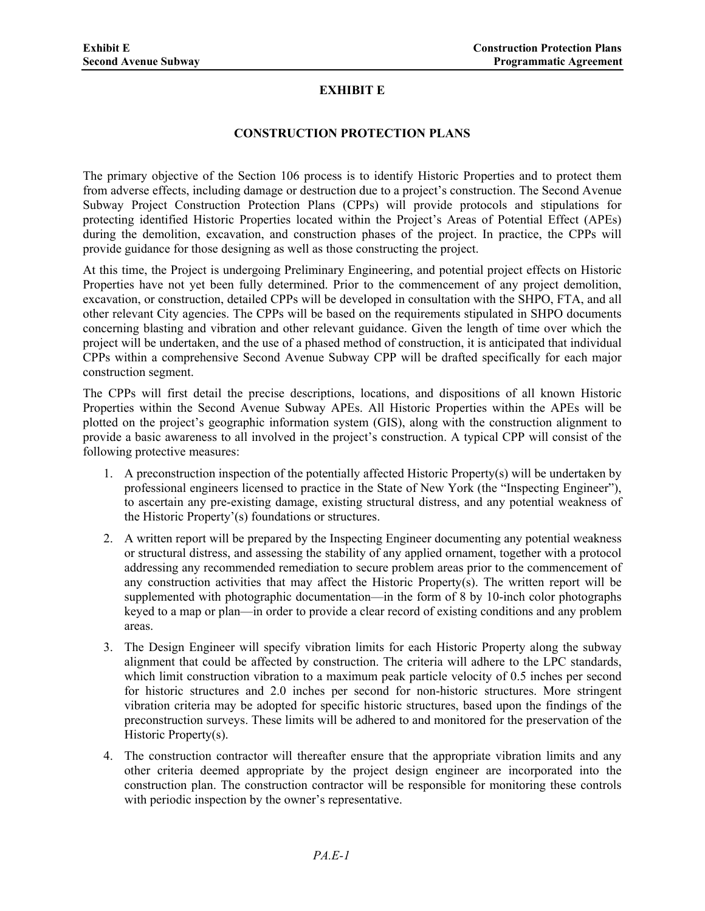## **EXHIBIT E**

## **CONSTRUCTION PROTECTION PLANS**

The primary objective of the Section 106 process is to identify Historic Properties and to protect them from adverse effects, including damage or destruction due to a project's construction. The Second Avenue Subway Project Construction Protection Plans (CPPs) will provide protocols and stipulations for protecting identified Historic Properties located within the Project's Areas of Potential Effect (APEs) during the demolition, excavation, and construction phases of the project. In practice, the CPPs will provide guidance for those designing as well as those constructing the project.

At this time, the Project is undergoing Preliminary Engineering, and potential project effects on Historic Properties have not yet been fully determined. Prior to the commencement of any project demolition, excavation, or construction, detailed CPPs will be developed in consultation with the SHPO, FTA, and all other relevant City agencies. The CPPs will be based on the requirements stipulated in SHPO documents concerning blasting and vibration and other relevant guidance. Given the length of time over which the project will be undertaken, and the use of a phased method of construction, it is anticipated that individual CPPs within a comprehensive Second Avenue Subway CPP will be drafted specifically for each major construction segment.

The CPPs will first detail the precise descriptions, locations, and dispositions of all known Historic Properties within the Second Avenue Subway APEs. All Historic Properties within the APEs will be plotted on the project's geographic information system (GIS), along with the construction alignment to provide a basic awareness to all involved in the project's construction. A typical CPP will consist of the following protective measures:

- 1. A preconstruction inspection of the potentially affected Historic Property(s) will be undertaken by professional engineers licensed to practice in the State of New York (the "Inspecting Engineer"), to ascertain any pre-existing damage, existing structural distress, and any potential weakness of the Historic Property'(s) foundations or structures.
- 2. A written report will be prepared by the Inspecting Engineer documenting any potential weakness or structural distress, and assessing the stability of any applied ornament, together with a protocol addressing any recommended remediation to secure problem areas prior to the commencement of any construction activities that may affect the Historic Property(s). The written report will be supplemented with photographic documentation—in the form of 8 by 10-inch color photographs keyed to a map or plan—in order to provide a clear record of existing conditions and any problem areas.
- 3. The Design Engineer will specify vibration limits for each Historic Property along the subway alignment that could be affected by construction. The criteria will adhere to the LPC standards, which limit construction vibration to a maximum peak particle velocity of 0.5 inches per second for historic structures and 2.0 inches per second for non-historic structures. More stringent vibration criteria may be adopted for specific historic structures, based upon the findings of the preconstruction surveys. These limits will be adhered to and monitored for the preservation of the Historic Property(s).
- 4. The construction contractor will thereafter ensure that the appropriate vibration limits and any other criteria deemed appropriate by the project design engineer are incorporated into the construction plan. The construction contractor will be responsible for monitoring these controls with periodic inspection by the owner's representative.